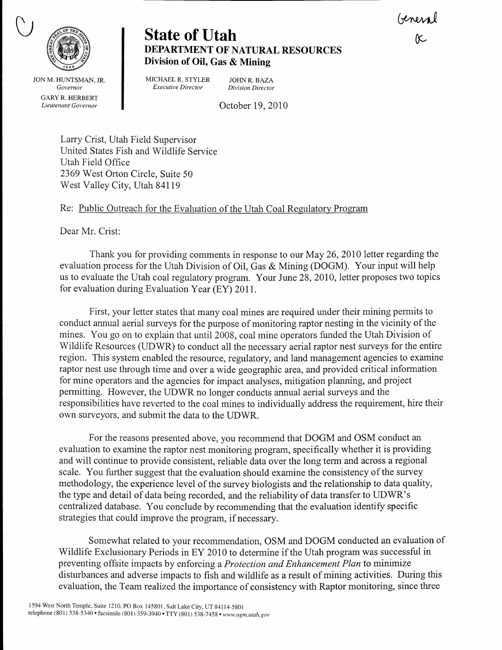General<br>R



**State of Utah** DEPARTMENT OF NATURAL RESOURCES Division of OiI, Gas & Mining

JON M. HUNTSMAN. JR. Governor GARY R. HERBERT Lieutenant Governor

MICHAEL R. STYLER JOHN R. BAZA<br>Executive Director Division Director Executive Director

October 19, 2070

Larry Crist, Utah Field Supervisor United States Fish and Wildlife Service Utah Field Office 2369 West Orton Circle, Suite 50 West Va11ey City, Utah 84119

## Re: Public Outreach for the Evaluation of the Utah Coal Regulatory Program

Dear Mr. Crist:

Thank you for providing comments in response to ow May 26,2010 letter regarding the evaluation process for the Utah Division of Oil, Gas & Mining (DOGM). Your input will help us to evaluate the Utah coal regulatory program. Your June 28, 2010, letter proposes two topics for evaluation during Evaluation Year  $(EY)$  2011.

First, your letter states that many coal mines are required under their mining permits to conduct annual aerial surveys for the purpose of monitoring raptor nesting in the vicinity of the mines. You go on to explain that until 2008, coal mine operators funded the Utah Division of Wildlife Resources (UDWR) to conduct all the necessary aerial raptor nest surveys for the entire region. This system enabled the resource, regulatory, and land management agencies to examine raptor nest use through time and over a wide geographic area, and provided critical information for mine operators and the agencies for impact analyses, mitigation planning, and project permitting. However, the IIDWR no longer conducts annual aerial surveys and the responsibilities have reverted to the coal mines to individually address the requirement, hire their own surveyors, and submit the data to the UDWR.

For the reasons presented above, you recommend that DOGM and OSM conduct an evaluation to examine the raptor nest monitoring program, specifically whether it is providing and will continue to provide consistent, reliable data over the long term and across a regional scale. You further suggest that the evaluation should examine the consistency of the survey methodology, the experience level of the survey biologists and the relationship to data quality, the type and detail of data being recorded, and the reliability of data transfer to UDWR's centralized database. You conclude by recommending that the evaluation identify specific strategies that could improve the program, if necessary.

Somewhat related to your recommendation, OSM and DOGM conducted an evaluation of Wildlife Exclusionary Periods in EY 2010 to determine if the Utah program was successful in preventing offsite impacts by enforcing a *Protection and Enhancement Plan* to minimize disturbaaces and adverse impacts to fish and wildlife as a result of mining activities. During this evaluation, the Team realized the importance of consistency with Raptor monitoring, since three